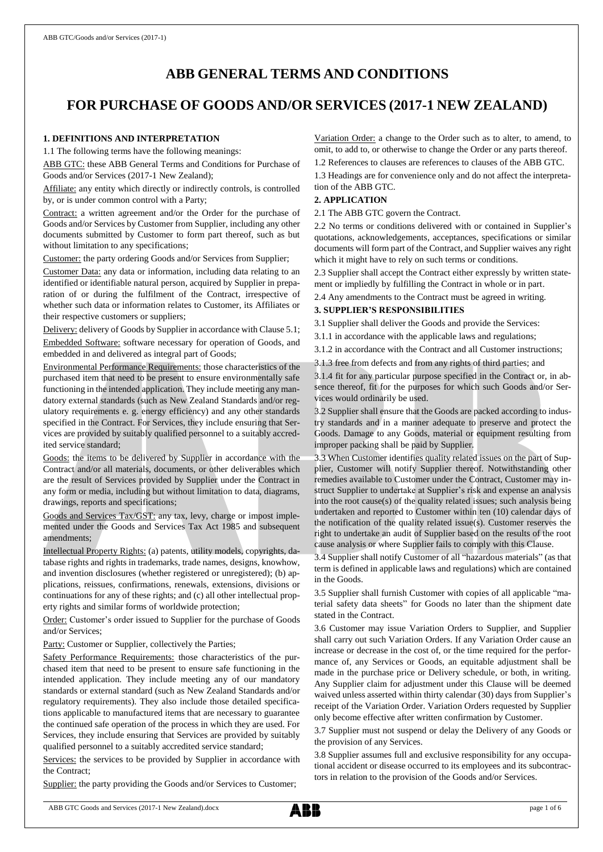# **ABB GENERAL TERMS AND CONDITIONS**

# **FOR PURCHASE OF GOODS AND/OR SERVICES (2017-1 NEW ZEALAND)**

# **1. DEFINITIONS AND INTERPRETATION**

1.1 The following terms have the following meanings:

ABB GTC: these ABB General Terms and Conditions for Purchase of Goods and/or Services (2017-1 New Zealand);

Affiliate: any entity which directly or indirectly controls, is controlled by, or is under common control with a Party;

Contract: a written agreement and/or the Order for the purchase of Goods and/or Services by Customer from Supplier, including any other documents submitted by Customer to form part thereof, such as but without limitation to any specifications;

Customer: the party ordering Goods and/or Services from Supplier;

Customer Data: any data or information, including data relating to an identified or identifiable natural person, acquired by Supplier in preparation of or during the fulfilment of the Contract, irrespective of whether such data or information relates to Customer, its Affiliates or their respective customers or suppliers;

Delivery: delivery of Goods by Supplier in accordance with Clause 5.1;

Embedded Software: software necessary for operation of Goods, and embedded in and delivered as integral part of Goods;

Environmental Performance Requirements: those characteristics of the purchased item that need to be present to ensure environmentally safe functioning in the intended application. They include meeting any mandatory external standards (such as New Zealand Standards and/or regulatory requirements e. g. energy efficiency) and any other standards specified in the Contract. For Services, they include ensuring that Services are provided by suitably qualified personnel to a suitably accredited service standard;

Goods: the items to be delivered by Supplier in accordance with the Contract and/or all materials, documents, or other deliverables which are the result of Services provided by Supplier under the Contract in any form or media, including but without limitation to data, diagrams, drawings, reports and specifications;

Goods and Services Tax/GST: any tax, levy, charge or impost implemented under the Goods and Services Tax Act 1985 and subsequent amendments;

Intellectual Property Rights: (a) patents, utility models, copyrights, database rights and rights in trademarks, trade names, designs, knowhow, and invention disclosures (whether registered or unregistered); (b) applications, reissues, confirmations, renewals, extensions, divisions or continuations for any of these rights; and (c) all other intellectual property rights and similar forms of worldwide protection;

Order: Customer's order issued to Supplier for the purchase of Goods and/or Services;

Party: Customer or Supplier, collectively the Parties;

Safety Performance Requirements: those characteristics of the purchased item that need to be present to ensure safe functioning in the intended application. They include meeting any of our mandatory standards or external standard (such as New Zealand Standards and/or regulatory requirements). They also include those detailed specifications applicable to manufactured items that are necessary to guarantee the continued safe operation of the process in which they are used. For Services, they include ensuring that Services are provided by suitably qualified personnel to a suitably accredited service standard;

Services: the services to be provided by Supplier in accordance with the Contract;

Supplier: the party providing the Goods and/or Services to Customer;

Variation Order: a change to the Order such as to alter, to amend, to omit, to add to, or otherwise to change the Order or any parts thereof.

1.2 References to clauses are references to clauses of the ABB GTC.

1.3 Headings are for convenience only and do not affect the interpretation of the ABB GTC.

#### **2. APPLICATION**

2.1 The ABB GTC govern the Contract.

2.2 No terms or conditions delivered with or contained in Supplier's quotations, acknowledgements, acceptances, specifications or similar documents will form part of the Contract, and Supplier waives any right which it might have to rely on such terms or conditions.

2.3 Supplier shall accept the Contract either expressly by written statement or impliedly by fulfilling the Contract in whole or in part.

2.4 Any amendments to the Contract must be agreed in writing.

# **3. SUPPLIER'S RESPONSIBILITIES**

3.1 Supplier shall deliver the Goods and provide the Services:

3.1.1 in accordance with the applicable laws and regulations;

3.1.2 in accordance with the Contract and all Customer instructions;

3.1.3 free from defects and from any rights of third parties; and

3.1.4 fit for any particular purpose specified in the Contract or, in absence thereof, fit for the purposes for which such Goods and/or Services would ordinarily be used.

3.2 Supplier shall ensure that the Goods are packed according to industry standards and in a manner adequate to preserve and protect the Goods. Damage to any Goods, material or equipment resulting from improper packing shall be paid by Supplier.

3.3 When Customer identifies quality related issues on the part of Supplier, Customer will notify Supplier thereof. Notwithstanding other remedies available to Customer under the Contract, Customer may instruct Supplier to undertake at Supplier's risk and expense an analysis into the root cause(s) of the quality related issues; such analysis being undertaken and reported to Customer within ten (10) calendar days of the notification of the quality related issue(s). Customer reserves the right to undertake an audit of Supplier based on the results of the root cause analysis or where Supplier fails to comply with this Clause.

3.4 Supplier shall notify Customer of all "hazardous materials" (as that term is defined in applicable laws and regulations) which are contained in the Goods.

3.5 Supplier shall furnish Customer with copies of all applicable "material safety data sheets" for Goods no later than the shipment date stated in the Contract.

3.6 Customer may issue Variation Orders to Supplier, and Supplier shall carry out such Variation Orders. If any Variation Order cause an increase or decrease in the cost of, or the time required for the performance of, any Services or Goods, an equitable adjustment shall be made in the purchase price or Delivery schedule, or both, in writing. Any Supplier claim for adjustment under this Clause will be deemed waived unless asserted within thirty calendar (30) days from Supplier's receipt of the Variation Order. Variation Orders requested by Supplier only become effective after written confirmation by Customer.

3.7 Supplier must not suspend or delay the Delivery of any Goods or the provision of any Services.

3.8 Supplier assumes full and exclusive responsibility for any occupational accident or disease occurred to its employees and its subcontractors in relation to the provision of the Goods and/or Services.

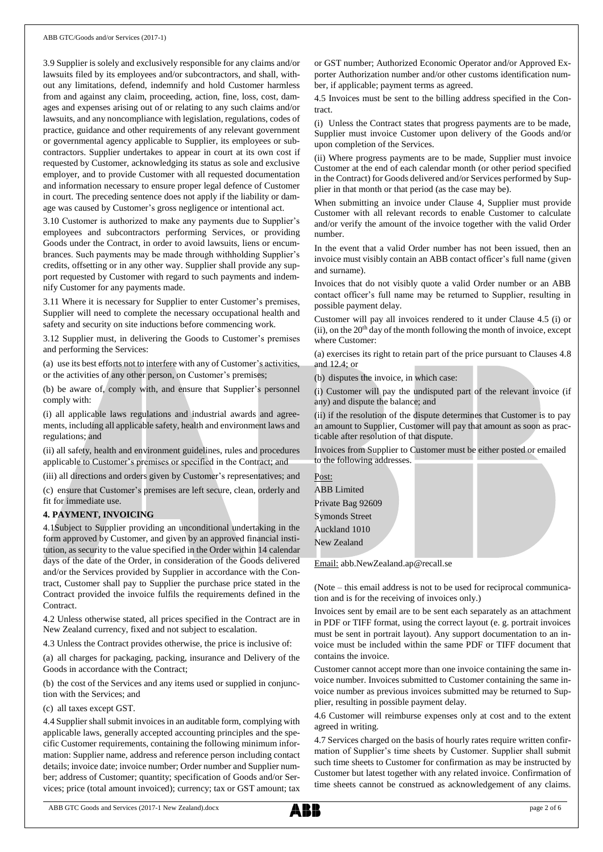3.9 Supplier is solely and exclusively responsible for any claims and/or lawsuits filed by its employees and/or subcontractors, and shall, without any limitations, defend, indemnify and hold Customer harmless from and against any claim, proceeding, action, fine, loss, cost, damages and expenses arising out of or relating to any such claims and/or lawsuits, and any noncompliance with legislation, regulations, codes of practice, guidance and other requirements of any relevant government or governmental agency applicable to Supplier, its employees or subcontractors. Supplier undertakes to appear in court at its own cost if requested by Customer, acknowledging its status as sole and exclusive employer, and to provide Customer with all requested documentation and information necessary to ensure proper legal defence of Customer in court. The preceding sentence does not apply if the liability or damage was caused by Customer's gross negligence or intentional act.

3.10 Customer is authorized to make any payments due to Supplier's employees and subcontractors performing Services, or providing Goods under the Contract, in order to avoid lawsuits, liens or encumbrances. Such payments may be made through withholding Supplier's credits, offsetting or in any other way. Supplier shall provide any support requested by Customer with regard to such payments and indemnify Customer for any payments made.

3.11 Where it is necessary for Supplier to enter Customer's premises, Supplier will need to complete the necessary occupational health and safety and security on site inductions before commencing work.

3.12 Supplier must, in delivering the Goods to Customer's premises and performing the Services:

(a) use its best efforts not to interfere with any of Customer's activities, or the activities of any other person, on Customer's premises;

(b) be aware of, comply with, and ensure that Supplier's personnel comply with:

(i) all applicable laws regulations and industrial awards and agreements, including all applicable safety, health and environment laws and regulations; and

(ii) all safety, health and environment guidelines, rules and procedures applicable to Customer's premises or specified in the Contract; and

(iii) all directions and orders given by Customer's representatives; and

(c) ensure that Customer's premises are left secure, clean, orderly and fit for immediate use.

# **4. PAYMENT, INVOICING**

4.1Subject to Supplier providing an unconditional undertaking in the form approved by Customer, and given by an approved financial institution, as security to the value specified in the Order within 14 calendar days of the date of the Order, in consideration of the Goods delivered and/or the Services provided by Supplier in accordance with the Contract, Customer shall pay to Supplier the purchase price stated in the Contract provided the invoice fulfils the requirements defined in the Contract.

4.2 Unless otherwise stated, all prices specified in the Contract are in New Zealand currency, fixed and not subject to escalation.

4.3 Unless the Contract provides otherwise, the price is inclusive of:

(a) all charges for packaging, packing, insurance and Delivery of the Goods in accordance with the Contract;

(b) the cost of the Services and any items used or supplied in conjunction with the Services; and

(c) all taxes except GST.

4.4 Supplier shall submit invoices in an auditable form, complying with applicable laws, generally accepted accounting principles and the specific Customer requirements, containing the following minimum information: Supplier name, address and reference person including contact details; invoice date; invoice number; Order number and Supplier number; address of Customer; quantity; specification of Goods and/or Services; price (total amount invoiced); currency; tax or GST amount; tax or GST number; Authorized Economic Operator and/or Approved Exporter Authorization number and/or other customs identification number, if applicable; payment terms as agreed.

4.5 Invoices must be sent to the billing address specified in the Contract.

(i) Unless the Contract states that progress payments are to be made, Supplier must invoice Customer upon delivery of the Goods and/or upon completion of the Services.

(ii) Where progress payments are to be made, Supplier must invoice Customer at the end of each calendar month (or other period specified in the Contract) for Goods delivered and/or Services performed by Supplier in that month or that period (as the case may be).

When submitting an invoice under Clause 4, Supplier must provide Customer with all relevant records to enable Customer to calculate and/or verify the amount of the invoice together with the valid Order number.

In the event that a valid Order number has not been issued, then an invoice must visibly contain an ABB contact officer's full name (given and surname).

Invoices that do not visibly quote a valid Order number or an ABB contact officer's full name may be returned to Supplier, resulting in possible payment delay.

Customer will pay all invoices rendered to it under Clause 4.5 (i) or (ii), on the 20<sup>th</sup> day of the month following the month of invoice, except where Customer:

(a) exercises its right to retain part of the price pursuant to Clauses 4.8 and  $12.4$ ; or

(b) disputes the invoice, in which case:

(i) Customer will pay the undisputed part of the relevant invoice (if any) and dispute the balance; and

(ii) if the resolution of the dispute determines that Customer is to pay an amount to Supplier, Customer will pay that amount as soon as practicable after resolution of that dispute.

Invoices from Supplier to Customer must be either posted or emailed to the following addresses.

| Post:                 |  |  |
|-----------------------|--|--|
| <b>ABB</b> Limited    |  |  |
| Private Bag 92609     |  |  |
| <b>Symonds Street</b> |  |  |
| Auckland 1010         |  |  |
| New Zealand           |  |  |
|                       |  |  |

Email: [abb.NewZealand.ap@recall.se](mailto:abb.NewZealand.ap@recall.se)

(Note – this email address is not to be used for reciprocal communication and is for the receiving of invoices only.)

Invoices sent by email are to be sent each separately as an attachment in PDF or TIFF format, using the correct layout (e. g. portrait invoices must be sent in portrait layout). Any support documentation to an invoice must be included within the same PDF or TIFF document that contains the invoice.

Customer cannot accept more than one invoice containing the same invoice number. Invoices submitted to Customer containing the same invoice number as previous invoices submitted may be returned to Supplier, resulting in possible payment delay.

4.6 Customer will reimburse expenses only at cost and to the extent agreed in writing.

4.7 Services charged on the basis of hourly rates require written confirmation of Supplier's time sheets by Customer. Supplier shall submit such time sheets to Customer for confirmation as may be instructed by Customer but latest together with any related invoice. Confirmation of time sheets cannot be construed as acknowledgement of any claims.

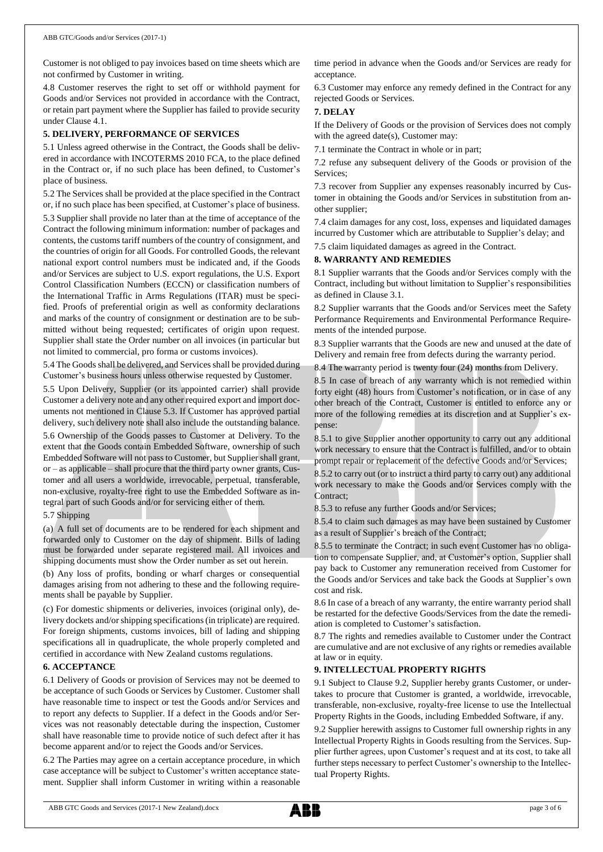Customer is not obliged to pay invoices based on time sheets which are not confirmed by Customer in writing.

4.8 Customer reserves the right to set off or withhold payment for Goods and/or Services not provided in accordance with the Contract, or retain part payment where the Supplier has failed to provide security under Clause 4.1.

## **5. DELIVERY, PERFORMANCE OF SERVICES**

5.1 Unless agreed otherwise in the Contract, the Goods shall be delivered in accordance with INCOTERMS 2010 FCA, to the place defined in the Contract or, if no such place has been defined, to Customer's place of business.

5.2 The Services shall be provided at the place specified in the Contract or, if no such place has been specified, at Customer's place of business. 5.3 Supplier shall provide no later than at the time of acceptance of the Contract the following minimum information: number of packages and contents, the customs tariff numbers of the country of consignment, and the countries of origin for all Goods. For controlled Goods, the relevant national export control numbers must be indicated and, if the Goods and/or Services are subject to U.S. export regulations, the U.S. Export Control Classification Numbers (ECCN) or classification numbers of the International Traffic in Arms Regulations (ITAR) must be specified. Proofs of preferential origin as well as conformity declarations and marks of the country of consignment or destination are to be submitted without being requested; certificates of origin upon request. Supplier shall state the Order number on all invoices (in particular but not limited to commercial, pro forma or customs invoices).

5.4 The Goods shall be delivered, and Services shall be provided during Customer's business hours unless otherwise requested by Customer.

5.5 Upon Delivery, Supplier (or its appointed carrier) shall provide Customer a delivery note and any other required export and import documents not mentioned in Clause 5.3. If Customer has approved partial delivery, such delivery note shall also include the outstanding balance.

5.6 Ownership of the Goods passes to Customer at Delivery. To the extent that the Goods contain Embedded Software, ownership of such Embedded Software will not passto Customer, but Supplier shall grant, or – as applicable – shall procure that the third party owner grants, Customer and all users a worldwide, irrevocable, perpetual, transferable, non-exclusive, royalty-free right to use the Embedded Software as integral part of such Goods and/or for servicing either of them.

## 5.7 Shipping

(a) A full set of documents are to be rendered for each shipment and forwarded only to Customer on the day of shipment. Bills of lading must be forwarded under separate registered mail. All invoices and shipping documents must show the Order number as set out herein.

(b) Any loss of profits, bonding or wharf charges or consequential damages arising from not adhering to these and the following requirements shall be payable by Supplier.

(c) For domestic shipments or deliveries, invoices (original only), delivery dockets and/or shipping specifications (in triplicate) are required. For foreign shipments, customs invoices, bill of lading and shipping specifications all in quadruplicate, the whole properly completed and certified in accordance with New Zealand customs regulations.

#### **6. ACCEPTANCE**

6.1 Delivery of Goods or provision of Services may not be deemed to be acceptance of such Goods or Services by Customer. Customer shall have reasonable time to inspect or test the Goods and/or Services and to report any defects to Supplier. If a defect in the Goods and/or Services was not reasonably detectable during the inspection, Customer shall have reasonable time to provide notice of such defect after it has become apparent and/or to reject the Goods and/or Services.

6.2 The Parties may agree on a certain acceptance procedure, in which case acceptance will be subject to Customer's written acceptance statement. Supplier shall inform Customer in writing within a reasonable time period in advance when the Goods and/or Services are ready for acceptance.

6.3 Customer may enforce any remedy defined in the Contract for any rejected Goods or Services.

# **7. DELAY**

If the Delivery of Goods or the provision of Services does not comply with the agreed date(s), Customer may:

7.1 terminate the Contract in whole or in part;

7.2 refuse any subsequent delivery of the Goods or provision of the Services;

7.3 recover from Supplier any expenses reasonably incurred by Customer in obtaining the Goods and/or Services in substitution from another supplier;

7.4 claim damages for any cost, loss, expenses and liquidated damages incurred by Customer which are attributable to Supplier's delay; and

7.5 claim liquidated damages as agreed in the Contract.

# **8. WARRANTY AND REMEDIES**

8.1 Supplier warrants that the Goods and/or Services comply with the Contract, including but without limitation to Supplier's responsibilities as defined in Clause 3.1.

8.2 Supplier warrants that the Goods and/or Services meet the Safety Performance Requirements and Environmental Performance Requirements of the intended purpose.

8.3 Supplier warrants that the Goods are new and unused at the date of Delivery and remain free from defects during the warranty period.

8.4 The warranty period is twenty four (24) months from Delivery.

8.5 In case of breach of any warranty which is not remedied within forty eight (48) hours from Customer's notification, or in case of any other breach of the Contract, Customer is entitled to enforce any or more of the following remedies at its discretion and at Supplier's expense:

8.5.1 to give Supplier another opportunity to carry out any additional work necessary to ensure that the Contract is fulfilled, and/or to obtain prompt repair or replacement of the defective Goods and/or Services;

8.5.2 to carry out (or to instruct a third party to carry out) any additional work necessary to make the Goods and/or Services comply with the Contract;

8.5.3 to refuse any further Goods and/or Services;

8.5.4 to claim such damages as may have been sustained by Customer as a result of Supplier's breach of the Contract;

8.5.5 to terminate the Contract; in such event Customer has no obligation to compensate Supplier, and, at Customer's option, Supplier shall pay back to Customer any remuneration received from Customer for the Goods and/or Services and take back the Goods at Supplier's own cost and risk.

8.6 In case of a breach of any warranty, the entire warranty period shall be restarted for the defective Goods/Services from the date the remediation is completed to Customer's satisfaction.

8.7 The rights and remedies available to Customer under the Contract are cumulative and are not exclusive of any rights or remedies available at law or in equity.

# **9. INTELLECTUAL PROPERTY RIGHTS**

9.1 Subject to Clause 9.2, Supplier hereby grants Customer, or undertakes to procure that Customer is granted, a worldwide, irrevocable, transferable, non-exclusive, royalty-free license to use the Intellectual Property Rights in the Goods, including Embedded Software, if any.

9.2 Supplier herewith assigns to Customer full ownership rights in any Intellectual Property Rights in Goods resulting from the Services. Supplier further agrees, upon Customer's request and at its cost, to take all further steps necessary to perfect Customer's ownership to the Intellectual Property Rights.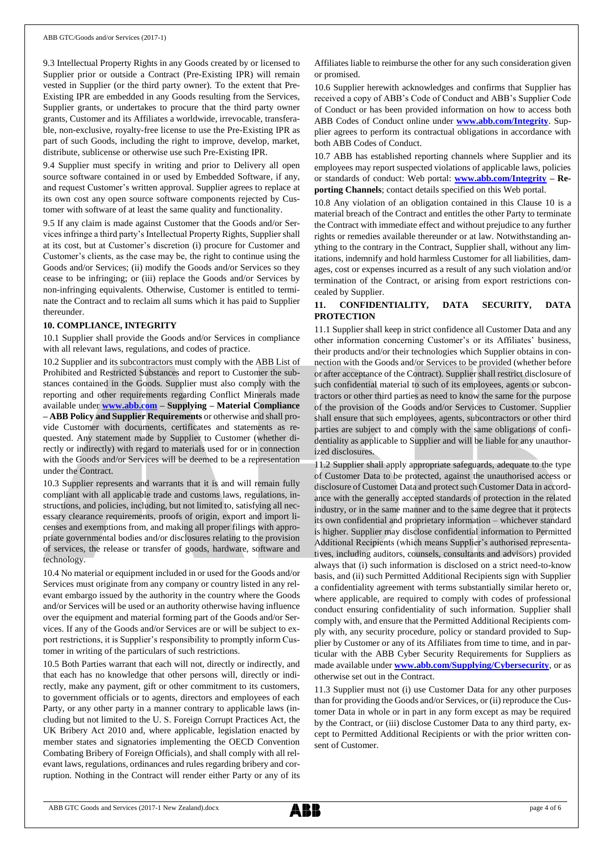9.3 Intellectual Property Rights in any Goods created by or licensed to Supplier prior or outside a Contract (Pre-Existing IPR) will remain vested in Supplier (or the third party owner). To the extent that Pre-Existing IPR are embedded in any Goods resulting from the Services, Supplier grants, or undertakes to procure that the third party owner grants, Customer and its Affiliates a worldwide, irrevocable, transferable, non-exclusive, royalty-free license to use the Pre-Existing IPR as part of such Goods, including the right to improve, develop, market, distribute, sublicense or otherwise use such Pre-Existing IPR.

9.4 Supplier must specify in writing and prior to Delivery all open source software contained in or used by Embedded Software, if any, and request Customer's written approval. Supplier agrees to replace at its own cost any open source software components rejected by Customer with software of at least the same quality and functionality.

9.5 If any claim is made against Customer that the Goods and/or Services infringe a third party's Intellectual Property Rights, Supplier shall at its cost, but at Customer's discretion (i) procure for Customer and Customer's clients, as the case may be, the right to continue using the Goods and/or Services; (ii) modify the Goods and/or Services so they cease to be infringing; or (iii) replace the Goods and/or Services by non-infringing equivalents. Otherwise, Customer is entitled to terminate the Contract and to reclaim all sums which it has paid to Supplier thereunder.

#### **10. COMPLIANCE, INTEGRITY**

10.1 Supplier shall provide the Goods and/or Services in compliance with all relevant laws, regulations, and codes of practice.

10.2 Supplier and its subcontractors must comply with the ABB List of Prohibited and Restricted Substances and report to Customer the substances contained in the Goods. Supplier must also comply with the reporting and other requirements regarding Conflict Minerals made available under **[www.abb.com](http://www.abb.com/) – Supplying – Material Compliance – ABB Policy and Supplier Requirements** or otherwise and shall provide Customer with documents, certificates and statements as requested. Any statement made by Supplier to Customer (whether directly or indirectly) with regard to materials used for or in connection with the Goods and/or Services will be deemed to be a representation under the Contract.

10.3 Supplier represents and warrants that it is and will remain fully compliant with all applicable trade and customs laws, regulations, instructions, and policies, including, but not limited to, satisfying all necessary clearance requirements, proofs of origin, export and import licenses and exemptions from, and making all proper filings with appropriate governmental bodies and/or disclosures relating to the provision of services, the release or transfer of goods, hardware, software and technology.

10.4 No material or equipment included in or used for the Goods and/or Services must originate from any company or country listed in any relevant embargo issued by the authority in the country where the Goods and/or Services will be used or an authority otherwise having influence over the equipment and material forming part of the Goods and/or Services. If any of the Goods and/or Services are or will be subject to export restrictions, it is Supplier's responsibility to promptly inform Customer in writing of the particulars of such restrictions.

10.5 Both Parties warrant that each will not, directly or indirectly, and that each has no knowledge that other persons will, directly or indirectly, make any payment, gift or other commitment to its customers, to government officials or to agents, directors and employees of each Party, or any other party in a manner contrary to applicable laws (including but not limited to the U. S. Foreign Corrupt Practices Act, the UK Bribery Act 2010 and, where applicable, legislation enacted by member states and signatories implementing the OECD Convention Combating Bribery of Foreign Officials), and shall comply with all relevant laws, regulations, ordinances and rules regarding bribery and corruption. Nothing in the Contract will render either Party or any of its Affiliates liable to reimburse the other for any such consideration given or promised.

10.6 Supplier herewith acknowledges and confirms that Supplier has received a copy of ABB's Code of Conduct and ABB's Supplier Code of Conduct or has been provided information on how to access both ABB Codes of Conduct online under **[www.abb.com/Integrity](http://www.abb.com/Integrity)**. Supplier agrees to perform its contractual obligations in accordance with both ABB Codes of Conduct.

10.7 ABB has established reporting channels where Supplier and its employees may report suspected violations of applicable laws, policies or standards of conduct: Web portal: **[www.abb.com/Integrity](http://www.abb.com/Integrity) – Reporting Channels**; contact details specified on this Web portal.

10.8 Any violation of an obligation contained in this Clause 10 is a material breach of the Contract and entitles the other Party to terminate the Contract with immediate effect and without prejudice to any further rights or remedies available thereunder or at law. Notwithstanding anything to the contrary in the Contract, Supplier shall, without any limitations, indemnify and hold harmless Customer for all liabilities, damages, cost or expenses incurred as a result of any such violation and/or termination of the Contract, or arising from export restrictions concealed by Supplier.

# **11. CONFIDENTIALITY, DATA SECURITY, DATA PROTECTION**

11.1 Supplier shall keep in strict confidence all Customer Data and any other information concerning Customer's or its Affiliates' business, their products and/or their technologies which Supplier obtains in connection with the Goods and/or Services to be provided (whether before or after acceptance of the Contract). Supplier shall restrict disclosure of such confidential material to such of its employees, agents or subcontractors or other third parties as need to know the same for the purpose of the provision of the Goods and/or Services to Customer. Supplier shall ensure that such employees, agents, subcontractors or other third parties are subject to and comply with the same obligations of confidentiality as applicable to Supplier and will be liable for any unauthorized disclosures.

11.2 Supplier shall apply appropriate safeguards, adequate to the type of Customer Data to be protected, against the unauthorised access or disclosure of Customer Data and protect such Customer Data in accordance with the generally accepted standards of protection in the related industry, or in the same manner and to the same degree that it protects its own confidential and proprietary information – whichever standard is higher. Supplier may disclose confidential information to Permitted Additional Recipients (which means Supplier's authorised representatives, including auditors, counsels, consultants and advisors) provided always that (i) such information is disclosed on a strict need-to-know basis, and (ii) such Permitted Additional Recipients sign with Supplier a confidentiality agreement with terms substantially similar hereto or, where applicable, are required to comply with codes of professional conduct ensuring confidentiality of such information. Supplier shall comply with, and ensure that the Permitted Additional Recipients comply with, any security procedure, policy or standard provided to Supplier by Customer or any of its Affiliates from time to time, and in particular with the ABB Cyber Security Requirements for Suppliers as made available under **[www.abb.com/Supplying/Cybersecurity](http://www.abb.com/Supplying/Cybersecurity)**, or as otherwise set out in the Contract.

11.3 Supplier must not (i) use Customer Data for any other purposes than for providing the Goods and/or Services, or (ii) reproduce the Customer Data in whole or in part in any form except as may be required by the Contract, or (iii) disclose Customer Data to any third party, except to Permitted Additional Recipients or with the prior written consent of Customer.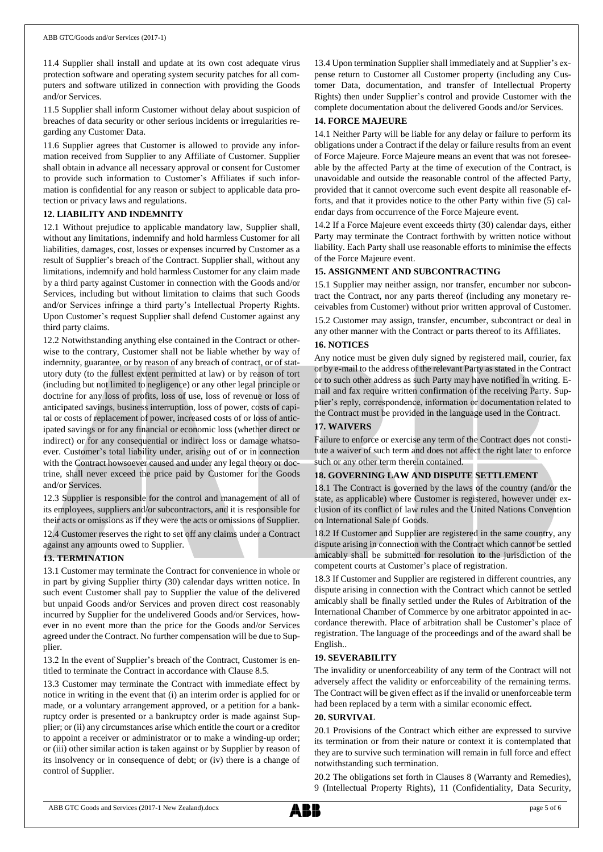11.4 Supplier shall install and update at its own cost adequate virus protection software and operating system security patches for all computers and software utilized in connection with providing the Goods and/or Services.

11.5 Supplier shall inform Customer without delay about suspicion of breaches of data security or other serious incidents or irregularities regarding any Customer Data.

11.6 Supplier agrees that Customer is allowed to provide any information received from Supplier to any Affiliate of Customer. Supplier shall obtain in advance all necessary approval or consent for Customer to provide such information to Customer's Affiliates if such information is confidential for any reason or subject to applicable data protection or privacy laws and regulations.

# **12. LIABILITY AND INDEMNITY**

12.1 Without prejudice to applicable mandatory law, Supplier shall, without any limitations, indemnify and hold harmless Customer for all liabilities, damages, cost, losses or expenses incurred by Customer as a result of Supplier's breach of the Contract. Supplier shall, without any limitations, indemnify and hold harmless Customer for any claim made by a third party against Customer in connection with the Goods and/or Services, including but without limitation to claims that such Goods and/or Services infringe a third party's Intellectual Property Rights. Upon Customer's request Supplier shall defend Customer against any third party claims.

12.2 Notwithstanding anything else contained in the Contract or otherwise to the contrary, Customer shall not be liable whether by way of indemnity, guarantee, or by reason of any breach of contract, or of statutory duty (to the fullest extent permitted at law) or by reason of tort (including but not limited to negligence) or any other legal principle or doctrine for any loss of profits, loss of use, loss of revenue or loss of anticipated savings, business interruption, loss of power, costs of capital or costs of replacement of power, increased costs of or loss of anticipated savings or for any financial or economic loss (whether direct or indirect) or for any consequential or indirect loss or damage whatsoever. Customer's total liability under, arising out of or in connection with the Contract howsoever caused and under any legal theory or doctrine, shall never exceed the price paid by Customer for the Goods and/or Services.

12.3 Supplier is responsible for the control and management of all of its employees, suppliers and/or subcontractors, and it is responsible for their acts or omissions as if they were the acts or omissions of Supplier. 12.4 Customer reserves the right to set off any claims under a Contract against any amounts owed to Supplier.

# **13. TERMINATION**

13.1 Customer may terminate the Contract for convenience in whole or in part by giving Supplier thirty (30) calendar days written notice. In such event Customer shall pay to Supplier the value of the delivered but unpaid Goods and/or Services and proven direct cost reasonably incurred by Supplier for the undelivered Goods and/or Services, however in no event more than the price for the Goods and/or Services agreed under the Contract. No further compensation will be due to Supplier.

13.2 In the event of Supplier's breach of the Contract, Customer is entitled to terminate the Contract in accordance with Clause 8.5.

13.3 Customer may terminate the Contract with immediate effect by notice in writing in the event that (i) an interim order is applied for or made, or a voluntary arrangement approved, or a petition for a bankruptcy order is presented or a bankruptcy order is made against Supplier; or (ii) any circumstances arise which entitle the court or a creditor to appoint a receiver or administrator or to make a winding-up order; or (iii) other similar action is taken against or by Supplier by reason of its insolvency or in consequence of debt; or (iv) there is a change of control of Supplier.

13.4 Upon termination Supplier shall immediately and at Supplier's expense return to Customer all Customer property (including any Customer Data, documentation, and transfer of Intellectual Property Rights) then under Supplier's control and provide Customer with the complete documentation about the delivered Goods and/or Services.

# **14. FORCE MAJEURE**

14.1 Neither Party will be liable for any delay or failure to perform its obligations under a Contract if the delay or failure results from an event of Force Majeure. Force Majeure means an event that was not foreseeable by the affected Party at the time of execution of the Contract, is unavoidable and outside the reasonable control of the affected Party, provided that it cannot overcome such event despite all reasonable efforts, and that it provides notice to the other Party within five (5) calendar days from occurrence of the Force Majeure event.

14.2 If a Force Majeure event exceeds thirty (30) calendar days, either Party may terminate the Contract forthwith by written notice without liability. Each Party shall use reasonable efforts to minimise the effects of the Force Majeure event.

# **15. ASSIGNMENT AND SUBCONTRACTING**

15.1 Supplier may neither assign, nor transfer, encumber nor subcontract the Contract, nor any parts thereof (including any monetary receivables from Customer) without prior written approval of Customer. 15.2 Customer may assign, transfer, encumber, subcontract or deal in any other manner with the Contract or parts thereof to its Affiliates.

## **16. NOTICES**

Any notice must be given duly signed by registered mail, courier, fax or by e-mail to the address of the relevant Party as stated in the Contract or to such other address as such Party may have notified in writing. Email and fax require written confirmation of the receiving Party. Supplier's reply, correspondence, information or documentation related to the Contract must be provided in the language used in the Contract.

# **17. WAIVERS**

Failure to enforce or exercise any term of the Contract does not constitute a waiver of such term and does not affect the right later to enforce such or any other term therein contained.

# **18. GOVERNING LAW AND DISPUTE SETTLEMENT**

18.1 The Contract is governed by the laws of the country (and/or the state, as applicable) where Customer is registered, however under exclusion of its conflict of law rules and the United Nations Convention on International Sale of Goods.

18.2 If Customer and Supplier are registered in the same country, any dispute arising in connection with the Contract which cannot be settled amicably shall be submitted for resolution to the jurisdiction of the competent courts at Customer's place of registration.

18.3 If Customer and Supplier are registered in different countries, any dispute arising in connection with the Contract which cannot be settled amicably shall be finally settled under the Rules of Arbitration of the International Chamber of Commerce by one arbitrator appointed in accordance therewith. Place of arbitration shall be Customer's place of registration. The language of the proceedings and of the award shall be English..

# **19. SEVERABILITY**

The invalidity or unenforceability of any term of the Contract will not adversely affect the validity or enforceability of the remaining terms. The Contract will be given effect as if the invalid or unenforceable term had been replaced by a term with a similar economic effect.

## **20. SURVIVAL**

20.1 Provisions of the Contract which either are expressed to survive its termination or from their nature or context it is contemplated that they are to survive such termination will remain in full force and effect notwithstanding such termination.

20.2 The obligations set forth in Clauses 8 (Warranty and Remedies), 9 (Intellectual Property Rights), 11 (Confidentiality, Data Security,